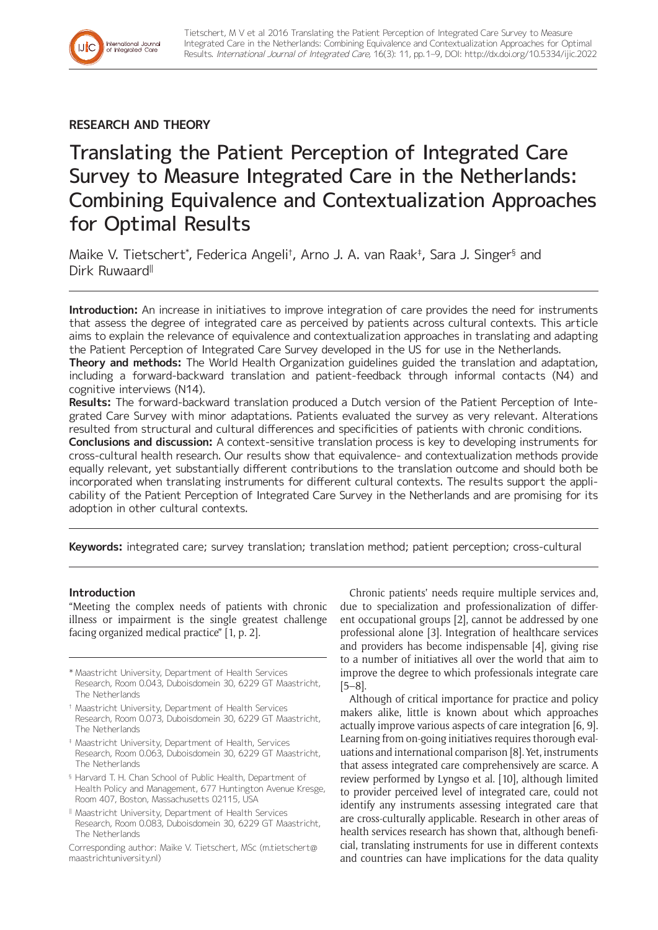## **RESEARCH AND THEORY**

International Journal<br>of Integrated Care

# Translating the Patient Perception of Integrated Care Survey to Measure Integrated Care in the Netherlands: Combining Equivalence and Contextualization Approaches for Optimal Results

Maike V. Tietschert\*, Federica Angeli†, Arno J. A. van Raak‡, Sara J. Singer§ and Dirk Ruwaard<sup>ǁ</sup>

**Introduction:** An increase in initiatives to improve integration of care provides the need for instruments that assess the degree of integrated care as perceived by patients across cultural contexts. This article aims to explain the relevance of equivalence and contextualization approaches in translating and adapting the Patient Perception of Integrated Care Survey developed in the US for use in the Netherlands.

**Theory and methods:** The World Health Organization guidelines guided the translation and adaptation, including a forward-backward translation and patient-feedback through informal contacts (N4) and cognitive interviews (N14).

**Results:** The forward-backward translation produced a Dutch version of the Patient Perception of Integrated Care Survey with minor adaptations. Patients evaluated the survey as very relevant. Alterations resulted from structural and cultural differences and specificities of patients with chronic conditions.

**Conclusions and discussion:** A context-sensitive translation process is key to developing instruments for cross-cultural health research. Our results show that equivalence- and contextualization methods provide equally relevant, yet substantially different contributions to the translation outcome and should both be incorporated when translating instruments for different cultural contexts. The results support the applicability of the Patient Perception of Integrated Care Survey in the Netherlands and are promising for its adoption in other cultural contexts.

**Keywords:** integrated care; survey translation; translation method; patient perception; cross-cultural

## **Introduction**

"Meeting the complex needs of patients with chronic illness or impairment is the single greatest challenge facing organized medical practice" [1, p. 2].

- \* Maastricht University, Department of Health Services Research, Room 0.043, Duboisdomein 30, 6229 GT Maastricht, The Netherlands
- † Maastricht University, Department of Health Services Research, Room 0.073, Duboisdomein 30, 6229 GT Maastricht, The Netherlands
- ‡ Maastricht University, Department of Health, Services Research, Room 0.063, Duboisdomein 30, 6229 GT Maastricht, The Netherlands
- § Harvard T. H. Chan School of Public Health, Department of Health Policy and Management, 677 Huntington Avenue Kresge, Room 407, Boston, Massachusetts 02115, USA
- <sup>ǁ</sup> Maastricht University, Department of Health Services Research, Room 0.083, Duboisdomein 30, 6229 GT Maastricht, The Netherlands

Corresponding author: Maike V. Tietschert, MSc [\(m.tietschert@](mailto:m.tietschert@maastrichtuniversity.nl) [maastrichtuniversity.nl\)](mailto:m.tietschert@maastrichtuniversity.nl)

Chronic patients' needs require multiple services and, due to specialization and professionalization of different occupational groups [2], cannot be addressed by one professional alone [3]. Integration of healthcare services and providers has become indispensable [4], giving rise to a number of initiatives all over the world that aim to improve the degree to which professionals integrate care [5–8].

Although of critical importance for practice and policy makers alike, little is known about which approaches actually improve various aspects of care integration [6, 9]. Learning from on-going initiatives requires thorough evaluations and international comparison [8]. Yet, instruments that assess integrated care comprehensively are scarce. A review performed by Lyngsø et al. [10], although limited to provider perceived level of integrated care, could not identify any instruments assessing integrated care that are cross-culturally applicable. Research in other areas of health services research has shown that, although beneficial, translating instruments for use in different contexts and countries can have implications for the data quality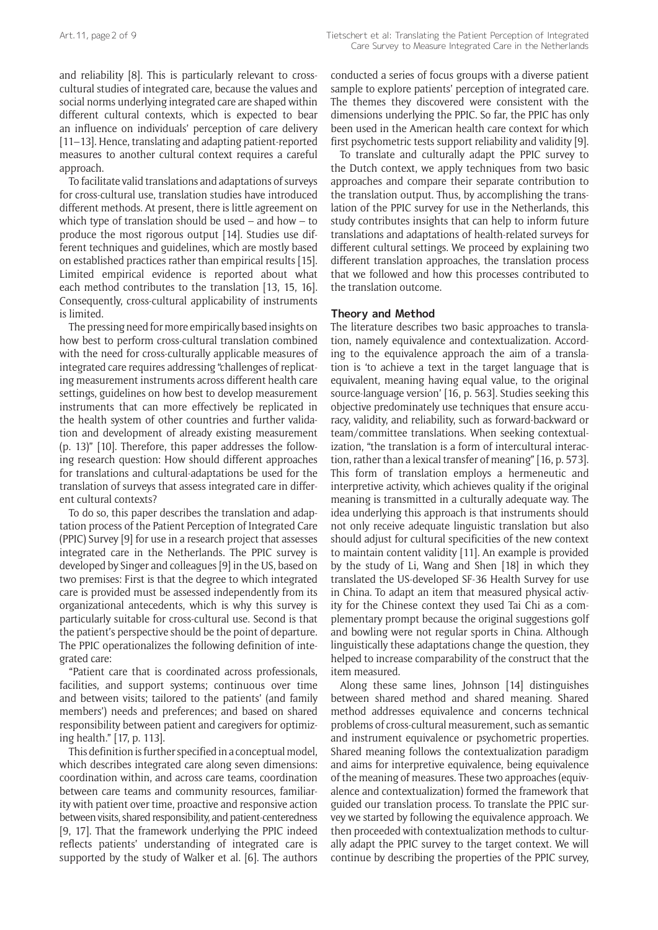and reliability [8]. This is particularly relevant to crosscultural studies of integrated care, because the values and social norms underlying integrated care are shaped within different cultural contexts, which is expected to bear an influence on individuals' perception of care delivery [11–13]. Hence, translating and adapting patient-reported measures to another cultural context requires a careful approach.

To facilitate valid translations and adaptations of surveys for cross-cultural use, translation studies have introduced different methods. At present, there is little agreement on which type of translation should be used – and how – to produce the most rigorous output [14]. Studies use different techniques and guidelines, which are mostly based on established practices rather than empirical results [15]. Limited empirical evidence is reported about what each method contributes to the translation [13, 15, 16]. Consequently, cross-cultural applicability of instruments is limited.

The pressing need for more empirically based insights on how best to perform cross-cultural translation combined with the need for cross-culturally applicable measures of integrated care requires addressing "challenges of replicating measurement instruments across different health care settings, guidelines on how best to develop measurement instruments that can more effectively be replicated in the health system of other countries and further validation and development of already existing measurement (p. 13)" [10]. Therefore, this paper addresses the following research question: How should different approaches for translations and cultural-adaptations be used for the translation of surveys that assess integrated care in different cultural contexts?

To do so, this paper describes the translation and adaptation process of the Patient Perception of Integrated Care (PPIC) Survey [9] for use in a research project that assesses integrated care in the Netherlands. The PPIC survey is developed by Singer and colleagues [9] in the US, based on two premises: First is that the degree to which integrated care is provided must be assessed independently from its organizational antecedents, which is why this survey is particularly suitable for cross-cultural use. Second is that the patient's perspective should be the point of departure. The PPIC operationalizes the following definition of integrated care:

"Patient care that is coordinated across professionals, facilities, and support systems; continuous over time and between visits; tailored to the patients' (and family members') needs and preferences; and based on shared responsibility between patient and caregivers for optimizing health." [17, p. 113].

This definition is further specified in a conceptual model, which describes integrated care along seven dimensions: coordination within, and across care teams, coordination between care teams and community resources, familiarity with patient over time, proactive and responsive action between visits, shared responsibility, and patient-centeredness [9, 17]. That the framework underlying the PPIC indeed reflects patients' understanding of integrated care is supported by the study of Walker et al. [6]. The authors conducted a series of focus groups with a diverse patient sample to explore patients' perception of integrated care. The themes they discovered were consistent with the dimensions underlying the PPIC. So far, the PPIC has only been used in the American health care context for which first psychometric tests support reliability and validity [9].

To translate and culturally adapt the PPIC survey to the Dutch context, we apply techniques from two basic approaches and compare their separate contribution to the translation output. Thus, by accomplishing the translation of the PPIC survey for use in the Netherlands, this study contributes insights that can help to inform future translations and adaptations of health-related surveys for different cultural settings. We proceed by explaining two different translation approaches, the translation process that we followed and how this processes contributed to the translation outcome.

## **Theory and Method**

The literature describes two basic approaches to translation, namely equivalence and contextualization. According to the equivalence approach the aim of a translation is 'to achieve a text in the target language that is equivalent, meaning having equal value, to the original source-language version' [16, p. 563]. Studies seeking this objective predominately use techniques that ensure accuracy, validity, and reliability, such as forward-backward or team/committee translations. When seeking contextualization, "the translation is a form of intercultural interaction, rather than a lexical transfer of meaning" [16, p. 573]. This form of translation employs a hermeneutic and interpretive activity, which achieves quality if the original meaning is transmitted in a culturally adequate way. The idea underlying this approach is that instruments should not only receive adequate linguistic translation but also should adjust for cultural specificities of the new context to maintain content validity [11]. An example is provided by the study of Li, Wang and Shen [18] in which they translated the US-developed SF-36 Health Survey for use in China. To adapt an item that measured physical activity for the Chinese context they used Tai Chi as a complementary prompt because the original suggestions golf and bowling were not regular sports in China. Although linguistically these adaptations change the question, they helped to increase comparability of the construct that the item measured.

Along these same lines, Johnson [14] distinguishes between shared method and shared meaning. Shared method addresses equivalence and concerns technical problems of cross-cultural measurement, such as semantic and instrument equivalence or psychometric properties. Shared meaning follows the contextualization paradigm and aims for interpretive equivalence, being equivalence of the meaning of measures. These two approaches (equivalence and contextualization) formed the framework that guided our translation process. To translate the PPIC survey we started by following the equivalence approach. We then proceeded with contextualization methods to culturally adapt the PPIC survey to the target context. We will continue by describing the properties of the PPIC survey,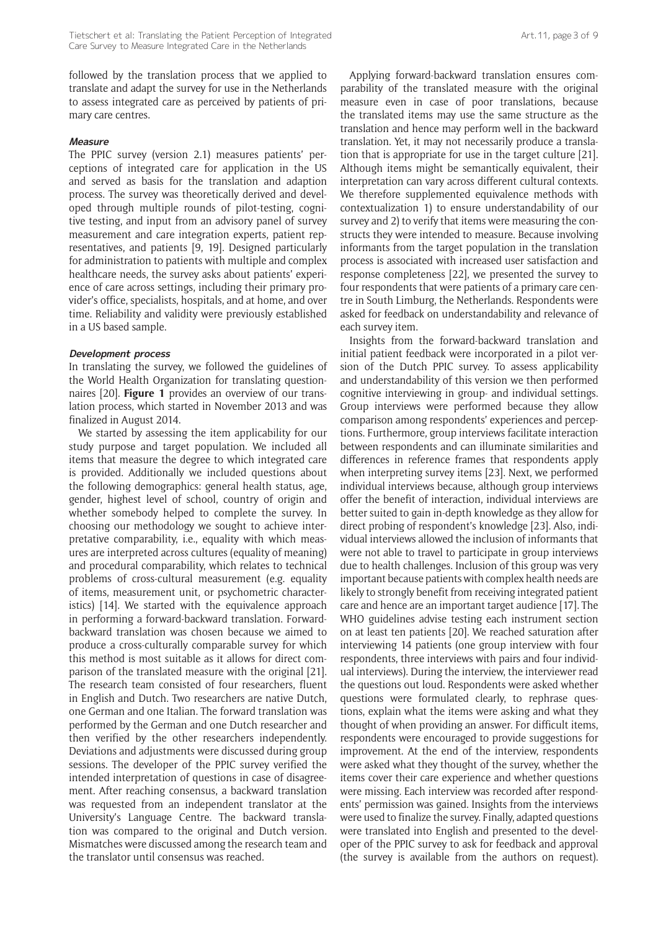followed by the translation process that we applied to translate and adapt the survey for use in the Netherlands to assess integrated care as perceived by patients of primary care centres.

#### **Measure**

The PPIC survey (version 2.1) measures patients' perceptions of integrated care for application in the US and served as basis for the translation and adaption process. The survey was theoretically derived and developed through multiple rounds of pilot-testing, cognitive testing, and input from an advisory panel of survey measurement and care integration experts, patient representatives, and patients [9, 19]. Designed particularly for administration to patients with multiple and complex healthcare needs, the survey asks about patients' experience of care across settings, including their primary provider's office, specialists, hospitals, and at home, and over time. Reliability and validity were previously established in a US based sample.

#### **Development process**

In translating the survey, we followed the guidelines of the World Health Organization for translating questionnaires [20]. **Figure 1** provides an overview of our translation process, which started in November 2013 and was finalized in August 2014.

We started by assessing the item applicability for our study purpose and target population. We included all items that measure the degree to which integrated care is provided. Additionally we included questions about the following demographics: general health status, age, gender, highest level of school, country of origin and whether somebody helped to complete the survey. In choosing our methodology we sought to achieve interpretative comparability, i.e., equality with which measures are interpreted across cultures (equality of meaning) and procedural comparability, which relates to technical problems of cross-cultural measurement (e.g. equality of items, measurement unit, or psychometric characteristics) [14]. We started with the equivalence approach in performing a forward-backward translation. Forwardbackward translation was chosen because we aimed to produce a cross-culturally comparable survey for which this method is most suitable as it allows for direct comparison of the translated measure with the original [21]. The research team consisted of four researchers, fluent in English and Dutch. Two researchers are native Dutch, one German and one Italian. The forward translation was performed by the German and one Dutch researcher and then verified by the other researchers independently. Deviations and adjustments were discussed during group sessions. The developer of the PPIC survey verified the intended interpretation of questions in case of disagreement. After reaching consensus, a backward translation was requested from an independent translator at the University's Language Centre. The backward translation was compared to the original and Dutch version. Mismatches were discussed among the research team and the translator until consensus was reached.

Applying forward-backward translation ensures comparability of the translated measure with the original measure even in case of poor translations, because the translated items may use the same structure as the translation and hence may perform well in the backward translation. Yet, it may not necessarily produce a translation that is appropriate for use in the target culture [21]. Although items might be semantically equivalent, their interpretation can vary across different cultural contexts. We therefore supplemented equivalence methods with contextualization 1) to ensure understandability of our survey and 2) to verify that items were measuring the constructs they were intended to measure. Because involving informants from the target population in the translation process is associated with increased user satisfaction and response completeness [22], we presented the survey to four respondents that were patients of a primary care centre in South Limburg, the Netherlands. Respondents were asked for feedback on understandability and relevance of each survey item.

Insights from the forward-backward translation and initial patient feedback were incorporated in a pilot version of the Dutch PPIC survey. To assess applicability and understandability of this version we then performed cognitive interviewing in group- and individual settings. Group interviews were performed because they allow comparison among respondents' experiences and perceptions. Furthermore, group interviews facilitate interaction between respondents and can illuminate similarities and differences in reference frames that respondents apply when interpreting survey items [23]. Next, we performed individual interviews because, although group interviews offer the benefit of interaction, individual interviews are better suited to gain in-depth knowledge as they allow for direct probing of respondent's knowledge [23]. Also, individual interviews allowed the inclusion of informants that were not able to travel to participate in group interviews due to health challenges. Inclusion of this group was very important because patients with complex health needs are likely to strongly benefit from receiving integrated patient care and hence are an important target audience [17]. The WHO guidelines advise testing each instrument section on at least ten patients [20]. We reached saturation after interviewing 14 patients (one group interview with four respondents, three interviews with pairs and four individual interviews). During the interview, the interviewer read the questions out loud. Respondents were asked whether questions were formulated clearly, to rephrase questions, explain what the items were asking and what they thought of when providing an answer. For difficult items, respondents were encouraged to provide suggestions for improvement. At the end of the interview, respondents were asked what they thought of the survey, whether the items cover their care experience and whether questions were missing. Each interview was recorded after respondents' permission was gained. Insights from the interviews were used to finalize the survey. Finally, adapted questions were translated into English and presented to the developer of the PPIC survey to ask for feedback and approval (the survey is available from the authors on request).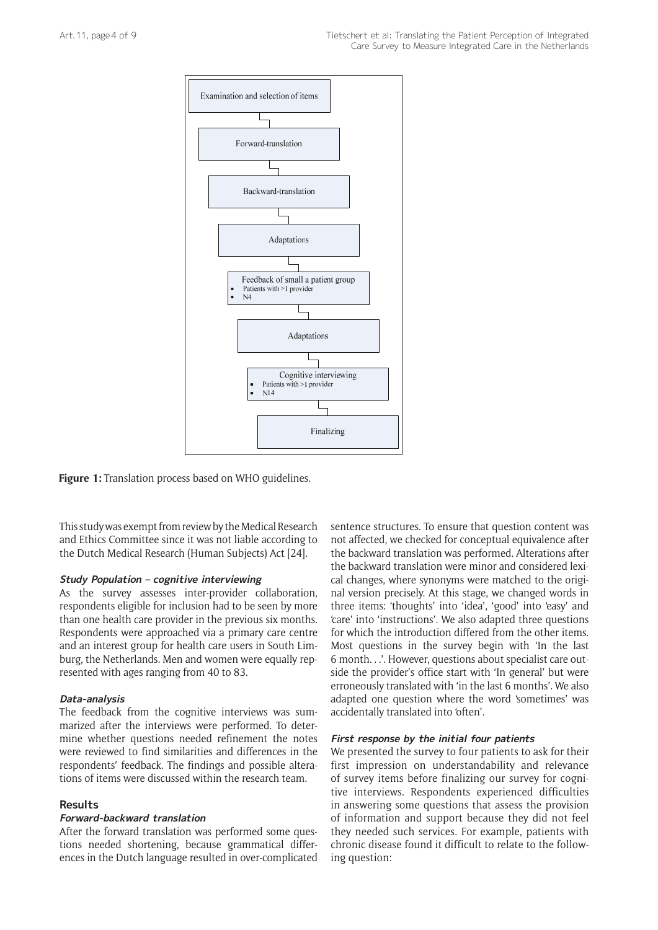

**Figure 1:** Translation process based on WHO guidelines.

This study was exempt from review by the Medical Research and Ethics Committee since it was not liable according to the Dutch Medical Research (Human Subjects) Act [24].

#### **Study Population – cognitive interviewing**

As the survey assesses inter-provider collaboration, respondents eligible for inclusion had to be seen by more than one health care provider in the previous six months. Respondents were approached via a primary care centre and an interest group for health care users in South Limburg, the Netherlands. Men and women were equally represented with ages ranging from 40 to 83.

#### **Data-analysis**

The feedback from the cognitive interviews was summarized after the interviews were performed. To determine whether questions needed refinement the notes were reviewed to find similarities and differences in the respondents' feedback. The findings and possible alterations of items were discussed within the research team.

#### **Results**

## **Forward-backward translation**

After the forward translation was performed some questions needed shortening, because grammatical differences in the Dutch language resulted in over-complicated sentence structures. To ensure that question content was not affected, we checked for conceptual equivalence after the backward translation was performed. Alterations after the backward translation were minor and considered lexical changes, where synonyms were matched to the original version precisely. At this stage, we changed words in three items: 'thoughts' into 'idea', 'good' into 'easy' and 'care' into 'instructions'. We also adapted three questions for which the introduction differed from the other items. Most questions in the survey begin with 'In the last 6 month. . .'. However, questions about specialist care outside the provider's office start with 'In general' but were erroneously translated with 'in the last 6 months'. We also adapted one question where the word 'sometimes' was accidentally translated into 'often'.

#### **First response by the initial four patients**

We presented the survey to four patients to ask for their first impression on understandability and relevance of survey items before finalizing our survey for cognitive interviews. Respondents experienced difficulties in answering some questions that assess the provision of information and support because they did not feel they needed such services. For example, patients with chronic disease found it difficult to relate to the following question: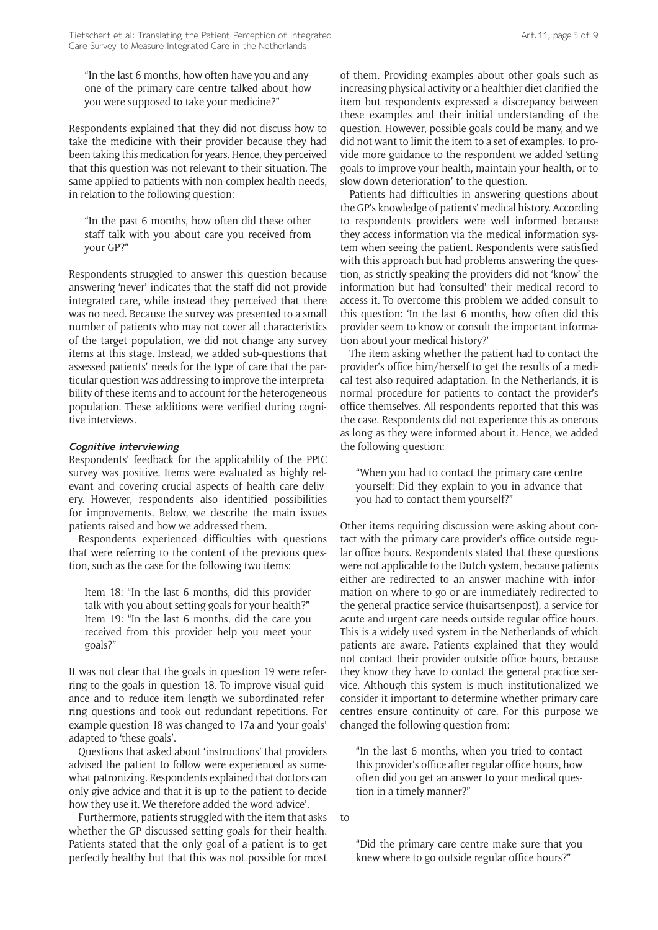"In the last 6 months, how often have you and anyone of the primary care centre talked about how you were supposed to take your medicine?"

Respondents explained that they did not discuss how to take the medicine with their provider because they had been taking this medication for years. Hence, they perceived that this question was not relevant to their situation. The same applied to patients with non-complex health needs, in relation to the following question:

"In the past 6 months, how often did these other staff talk with you about care you received from your GP?"

Respondents struggled to answer this question because answering 'never' indicates that the staff did not provide integrated care, while instead they perceived that there was no need. Because the survey was presented to a small number of patients who may not cover all characteristics of the target population, we did not change any survey items at this stage. Instead, we added sub-questions that assessed patients' needs for the type of care that the particular question was addressing to improve the interpretability of these items and to account for the heterogeneous population. These additions were verified during cognitive interviews.

#### **Cognitive interviewing**

Respondents' feedback for the applicability of the PPIC survey was positive. Items were evaluated as highly relevant and covering crucial aspects of health care delivery. However, respondents also identified possibilities for improvements. Below, we describe the main issues patients raised and how we addressed them.

Respondents experienced difficulties with questions that were referring to the content of the previous question, such as the case for the following two items:

Item 18: "In the last 6 months, did this provider talk with you about setting goals for your health?" Item 19: "In the last 6 months, did the care you received from this provider help you meet your goals?"

It was not clear that the goals in question 19 were referring to the goals in question 18. To improve visual guidance and to reduce item length we subordinated referring questions and took out redundant repetitions. For example question 18 was changed to 17a and 'your goals' adapted to 'these goals'.

Questions that asked about 'instructions' that providers advised the patient to follow were experienced as somewhat patronizing. Respondents explained that doctors can only give advice and that it is up to the patient to decide how they use it. We therefore added the word 'advice'.

Furthermore, patients struggled with the item that asks whether the GP discussed setting goals for their health. Patients stated that the only goal of a patient is to get perfectly healthy but that this was not possible for most

of them. Providing examples about other goals such as increasing physical activity or a healthier diet clarified the item but respondents expressed a discrepancy between these examples and their initial understanding of the question. However, possible goals could be many, and we did not want to limit the item to a set of examples. To provide more guidance to the respondent we added 'setting goals to improve your health, maintain your health, or to slow down deterioration' to the question.

Patients had difficulties in answering questions about the GP's knowledge of patients' medical history. According to respondents providers were well informed because they access information via the medical information system when seeing the patient. Respondents were satisfied with this approach but had problems answering the question, as strictly speaking the providers did not 'know' the information but had 'consulted' their medical record to access it. To overcome this problem we added consult to this question: 'In the last 6 months, how often did this provider seem to know or consult the important information about your medical history?'

The item asking whether the patient had to contact the provider's office him/herself to get the results of a medical test also required adaptation. In the Netherlands, it is normal procedure for patients to contact the provider's office themselves. All respondents reported that this was the case. Respondents did not experience this as onerous as long as they were informed about it. Hence, we added the following question:

"When you had to contact the primary care centre yourself: Did they explain to you in advance that you had to contact them yourself?"

Other items requiring discussion were asking about contact with the primary care provider's office outside regular office hours. Respondents stated that these questions were not applicable to the Dutch system, because patients either are redirected to an answer machine with information on where to go or are immediately redirected to the general practice service (huisartsenpost), a service for acute and urgent care needs outside regular office hours. This is a widely used system in the Netherlands of which patients are aware. Patients explained that they would not contact their provider outside office hours, because they know they have to contact the general practice service. Although this system is much institutionalized we consider it important to determine whether primary care centres ensure continuity of care. For this purpose we changed the following question from:

"In the last 6 months, when you tried to contact this provider's office after regular office hours, how often did you get an answer to your medical question in a timely manner?"

to

"Did the primary care centre make sure that you knew where to go outside regular office hours?"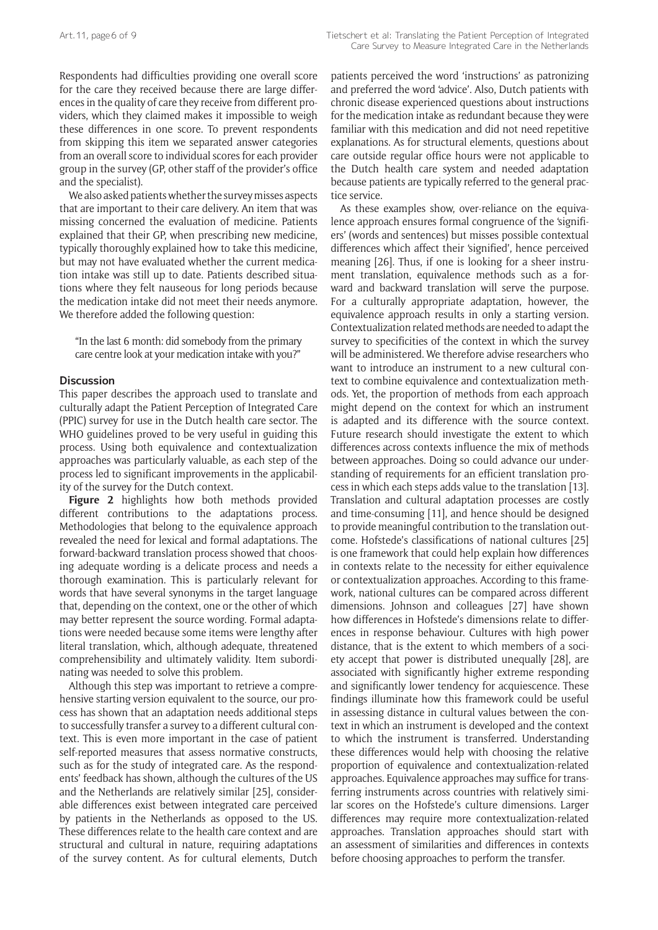Respondents had difficulties providing one overall score for the care they received because there are large differences in the quality of care they receive from different providers, which they claimed makes it impossible to weigh these differences in one score. To prevent respondents from skipping this item we separated answer categories from an overall score to individual scores for each provider group in the survey (GP, other staff of the provider's office and the specialist).

We also asked patients whether the survey misses aspects that are important to their care delivery. An item that was missing concerned the evaluation of medicine. Patients explained that their GP, when prescribing new medicine, typically thoroughly explained how to take this medicine, but may not have evaluated whether the current medication intake was still up to date. Patients described situations where they felt nauseous for long periods because the medication intake did not meet their needs anymore. We therefore added the following question:

"In the last 6 month: did somebody from the primary care centre look at your medication intake with you?"

#### **Discussion**

This paper describes the approach used to translate and culturally adapt the Patient Perception of Integrated Care (PPIC) survey for use in the Dutch health care sector. The WHO guidelines proved to be very useful in guiding this process. Using both equivalence and contextualization approaches was particularly valuable, as each step of the process led to significant improvements in the applicability of the survey for the Dutch context.

**Figure 2** highlights how both methods provided different contributions to the adaptations process. Methodologies that belong to the equivalence approach revealed the need for lexical and formal adaptations. The forward-backward translation process showed that choosing adequate wording is a delicate process and needs a thorough examination. This is particularly relevant for words that have several synonyms in the target language that, depending on the context, one or the other of which may better represent the source wording. Formal adaptations were needed because some items were lengthy after literal translation, which, although adequate, threatened comprehensibility and ultimately validity. Item subordinating was needed to solve this problem.

Although this step was important to retrieve a comprehensive starting version equivalent to the source, our process has shown that an adaptation needs additional steps to successfully transfer a survey to a different cultural context. This is even more important in the case of patient self-reported measures that assess normative constructs, such as for the study of integrated care. As the respondents' feedback has shown, although the cultures of the US and the Netherlands are relatively similar [25], considerable differences exist between integrated care perceived by patients in the Netherlands as opposed to the US. These differences relate to the health care context and are structural and cultural in nature, requiring adaptations of the survey content. As for cultural elements, Dutch

patients perceived the word 'instructions' as patronizing and preferred the word 'advice'. Also, Dutch patients with chronic disease experienced questions about instructions for the medication intake as redundant because they were familiar with this medication and did not need repetitive explanations. As for structural elements, questions about care outside regular office hours were not applicable to the Dutch health care system and needed adaptation because patients are typically referred to the general practice service.

As these examples show, over-reliance on the equivalence approach ensures formal congruence of the 'signifiers' (words and sentences) but misses possible contextual differences which affect their 'signified', hence perceived meaning [26]. Thus, if one is looking for a sheer instrument translation, equivalence methods such as a forward and backward translation will serve the purpose. For a culturally appropriate adaptation, however, the equivalence approach results in only a starting version. Contextualization related methods are needed to adapt the survey to specificities of the context in which the survey will be administered. We therefore advise researchers who want to introduce an instrument to a new cultural context to combine equivalence and contextualization methods. Yet, the proportion of methods from each approach might depend on the context for which an instrument is adapted and its difference with the source context. Future research should investigate the extent to which differences across contexts influence the mix of methods between approaches. Doing so could advance our understanding of requirements for an efficient translation process in which each steps adds value to the translation [13]. Translation and cultural adaptation processes are costly and time-consuming [11], and hence should be designed to provide meaningful contribution to the translation outcome. Hofstede's classifications of national cultures [25] is one framework that could help explain how differences in contexts relate to the necessity for either equivalence or contextualization approaches. According to this framework, national cultures can be compared across different dimensions. Johnson and colleagues [27] have shown how differences in Hofstede's dimensions relate to differences in response behaviour. Cultures with high power distance, that is the extent to which members of a society accept that power is distributed unequally [28], are associated with significantly higher extreme responding and significantly lower tendency for acquiescence. These findings illuminate how this framework could be useful in assessing distance in cultural values between the context in which an instrument is developed and the context to which the instrument is transferred. Understanding these differences would help with choosing the relative proportion of equivalence and contextualization-related approaches. Equivalence approaches may suffice for transferring instruments across countries with relatively similar scores on the Hofstede's culture dimensions. Larger differences may require more contextualization-related approaches. Translation approaches should start with an assessment of similarities and differences in contexts before choosing approaches to perform the transfer.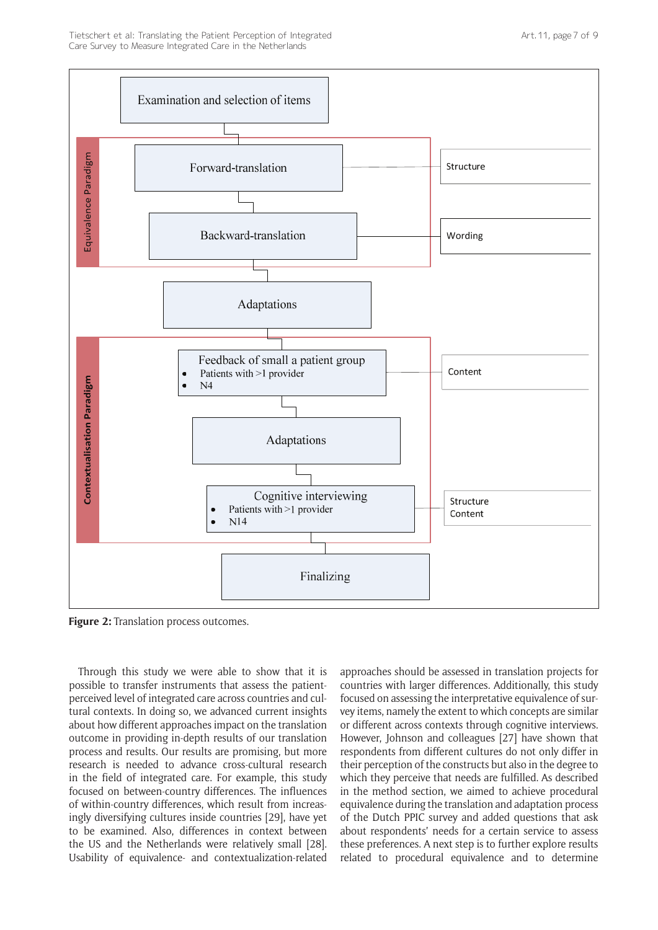

**Figure 2:** Translation process outcomes.

Through this study we were able to show that it is possible to transfer instruments that assess the patientperceived level of integrated care across countries and cultural contexts. In doing so, we advanced current insights about how different approaches impact on the translation outcome in providing in-depth results of our translation process and results. Our results are promising, but more research is needed to advance cross-cultural research in the field of integrated care. For example, this study focused on between-country differences. The influences of within-country differences, which result from increasingly diversifying cultures inside countries [29], have yet to be examined. Also, differences in context between the US and the Netherlands were relatively small [28]. Usability of equivalence- and contextualization-related approaches should be assessed in translation projects for countries with larger differences. Additionally, this study focused on assessing the interpretative equivalence of survey items, namely the extent to which concepts are similar or different across contexts through cognitive interviews. However, Johnson and colleagues [27] have shown that respondents from different cultures do not only differ in their perception of the constructs but also in the degree to which they perceive that needs are fulfilled. As described in the method section, we aimed to achieve procedural equivalence during the translation and adaptation process of the Dutch PPIC survey and added questions that ask about respondents' needs for a certain service to assess these preferences. A next step is to further explore results related to procedural equivalence and to determine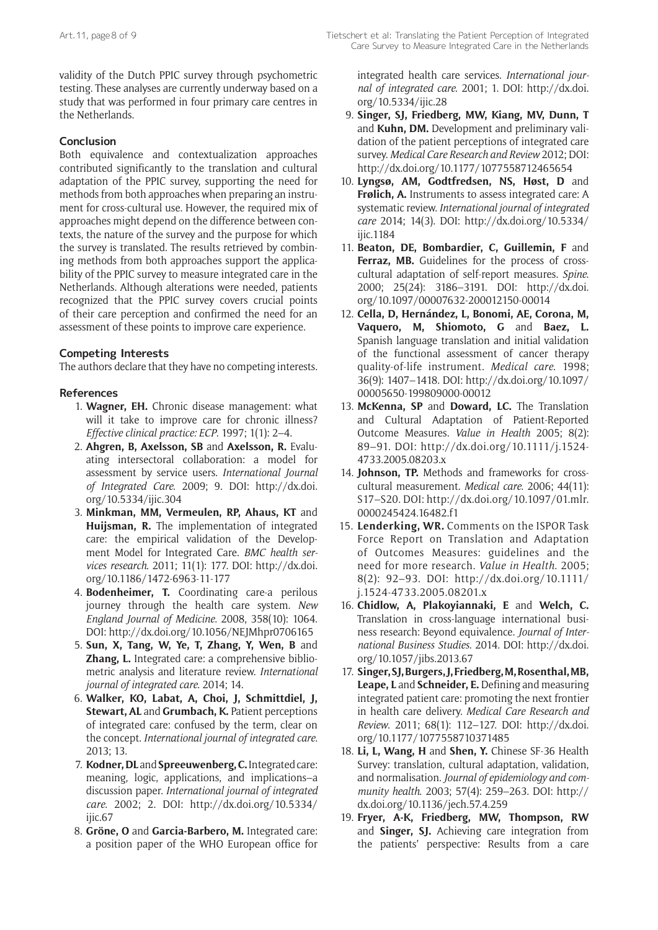validity of the Dutch PPIC survey through psychometric testing. These analyses are currently underway based on a study that was performed in four primary care centres in the Netherlands.

## **Conclusion**

Both equivalence and contextualization approaches contributed significantly to the translation and cultural adaptation of the PPIC survey, supporting the need for methods from both approaches when preparing an instrument for cross-cultural use. However, the required mix of approaches might depend on the difference between contexts, the nature of the survey and the purpose for which the survey is translated. The results retrieved by combining methods from both approaches support the applicability of the PPIC survey to measure integrated care in the Netherlands. Although alterations were needed, patients recognized that the PPIC survey covers crucial points of their care perception and confirmed the need for an assessment of these points to improve care experience.

#### **Competing Interests**

The authors declare that they have no competing interests.

#### **References**

- 1. **Wagner, EH.** Chronic disease management: what will it take to improve care for chronic illness? *Effective clinical practice: ECP*. 1997; 1(1): 2–4.
- 2. **Ahgren, B, Axelsson, SB** and **Axelsson, R.** Evaluating intersectoral collaboration: a model for assessment by service users. *International Journal of Integrated Care*. 2009; 9. DOI: [http://dx.doi.](http://dx.doi.org/10.5334/ijic.304) [org/10.5334/ijic.304](http://dx.doi.org/10.5334/ijic.304)
- 3. **Minkman, MM, Vermeulen, RP, Ahaus, KT** and **Huijsman, R.** The implementation of integrated care: the empirical validation of the Development Model for Integrated Care. *BMC health services research*. 2011; 11(1): 177. DOI: [http://dx.doi.](http://dx.doi.org/10.1186/1472-6963-11-177) [org/10.1186/1472-6963-11-177](http://dx.doi.org/10.1186/1472-6963-11-177)
- 4. **Bodenheimer, T.** Coordinating care-a perilous journey through the health care system. *New England Journal of Medicine*. 2008, 358(10): 1064. DOI: <http://dx.doi.org/10.1056/NEJMhpr0706165>
- 5. **Sun, X, Tang, W, Ye, T, Zhang, Y, Wen, B** and **Zhang, L.** Integrated care: a comprehensive bibliometric analysis and literature review. *International journal of integrated care*. 2014; 14.
- 6. **Walker, KO, Labat, A, Choi, J, Schmittdiel, J, Stewart, AL** and **Grumbach, K.** Patient perceptions of integrated care: confused by the term, clear on the concept. *International journal of integrated care*. 2013; 13.
- 7. **Kodner, DL** and **Spreeuwenberg, C.** Integrated care: meaning, logic, applications, and implications–a discussion paper. *International journal of integrated care*. 2002; 2. DOI: [http://dx.doi.org/10.5334/](http://dx.doi.org/10.5334/ijic.67) [ijic.67](http://dx.doi.org/10.5334/ijic.67)
- 8. **Gröne, O** and **Garcia-Barbero, M.** Integrated care: a position paper of the WHO European office for

integrated health care services. *International journal of integrated care*. 2001; 1. DOI: [http://dx.doi.](http://dx.doi.org/10.5334/ijic.28) [org/10.5334/ijic.28](http://dx.doi.org/10.5334/ijic.28)

- 9. **Singer, SJ, Friedberg, MW, Kiang, MV, Dunn, T** and **Kuhn, DM.** Development and preliminary validation of the patient perceptions of integrated care survey. *Medical Care Research and Review* 2012; DOI: <http://dx.doi.org/10.1177/1077558712465654>
- 10. **Lyngsø, AM, Godtfredsen, NS, Høst, D** and **Frølich, A.** Instruments to assess integrated care: A systematic review. *International journal of integrated care* 2014; 14(3). DOI: [http://dx.doi.org/10.5334/](http://dx.doi.org/10.5334/ijic.1184) [ijic.1184](http://dx.doi.org/10.5334/ijic.1184)
- 11. **Beaton, DE, Bombardier, C, Guillemin, F** and Ferraz, MB. Guidelines for the process of crosscultural adaptation of self-report measures. *Spine*. 2000; 25(24): 3186–3191. DOI: [http://dx.doi.](http://dx.doi.org/10.1097/00007632-200012150-00014) [org/10.1097/00007632-200012150-00014](http://dx.doi.org/10.1097/00007632-200012150-00014)
- 12. **Cella, D, Hernández, L, Bonomi, AE, Corona, M, Vaquero, M, Shiomoto, G** and **Baez, L.**  Spanish language translation and initial validation of the functional assessment of cancer therapy quality-of-life instrument. *Medical care*. 1998; 36(9): 1407–1418. DOI: [http://dx.doi.org/10.1097/](http://dx.doi.org/10.1097/00005650-199809000-00012) [00005650-199809000-00012](http://dx.doi.org/10.1097/00005650-199809000-00012)
- 13. **McKenna, SP** and **Doward, LC.** The Translation and Cultural Adaptation of Patient-Reported Outcome Measures. *Value in Health* 2005; 8(2): 89–91. DOI: [http://dx.doi.org/10.1111/j.1524-](http://dx.doi.org/10.1111/j.1524-
4733.2005.08203.x) [4733.2005.08203.x](http://dx.doi.org/10.1111/j.1524-
4733.2005.08203.x)
- 14. **Johnson, TP.** Methods and frameworks for crosscultural measurement. *Medical care*. 2006; 44(11): S17–S20. DOI: [http://dx.doi.org/10.1097/01.mlr.](http://dx.doi.org/10.1097/01.mlr.0000245424.16482.f1) [0000245424.16482.f1](http://dx.doi.org/10.1097/01.mlr.0000245424.16482.f1)
- 15. **Lenderking, WR.** Comments on the ISPOR Task Force Report on Translation and Adaptation of Outcomes Measures: guidelines and the need for more research. *Value in Health*. 2005; 8(2): 92–93. DOI: [http://dx.doi.org/10.1111/](http://dx.doi.org/10.1111/j.1524-4733.2005.08201.x) [j.1524-4733.2005.08201.x](http://dx.doi.org/10.1111/j.1524-4733.2005.08201.x)
- 16. **Chidlow, A, Plakoyiannaki, E** and **Welch, C.** Translation in cross-language international business research: Beyond equivalence. *Journal of International Business Studies*. 2014. DOI: [http://dx.doi.](http://dx.doi.org/10.1057/jibs.2013.67) [org/10.1057/jibs.2013.67](http://dx.doi.org/10.1057/jibs.2013.67)
- 17. **Singer, SJ, Burgers, J, Friedberg, M, Rosenthal, MB, Leape, L** and **Schneider, E.** Defining and measuring integrated patient care: promoting the next frontier in health care delivery. *Medical Care Research and Review*. 2011; 68(1): 112–127. DOI: [http://dx.doi.](http://dx.doi.org/10.1177/1077558710371485) [org/10.1177/1077558710371485](http://dx.doi.org/10.1177/1077558710371485)
- 18. **Li, L, Wang, H** and **Shen, Y.** Chinese SF-36 Health Survey: translation, cultural adaptation, validation, and normalisation. *Journal of epidemiology and community health*. 2003; 57(4): 259–263. DOI: [http://](http://dx.doi.org/10.1136/jech.57.4.259) [dx.doi.org/10.1136/jech.57.4.259](http://dx.doi.org/10.1136/jech.57.4.259)
- 19. **Fryer, A-K, Friedberg, MW, Thompson, RW**  and **Singer, SJ.** Achieving care integration from the patients' perspective: Results from a care